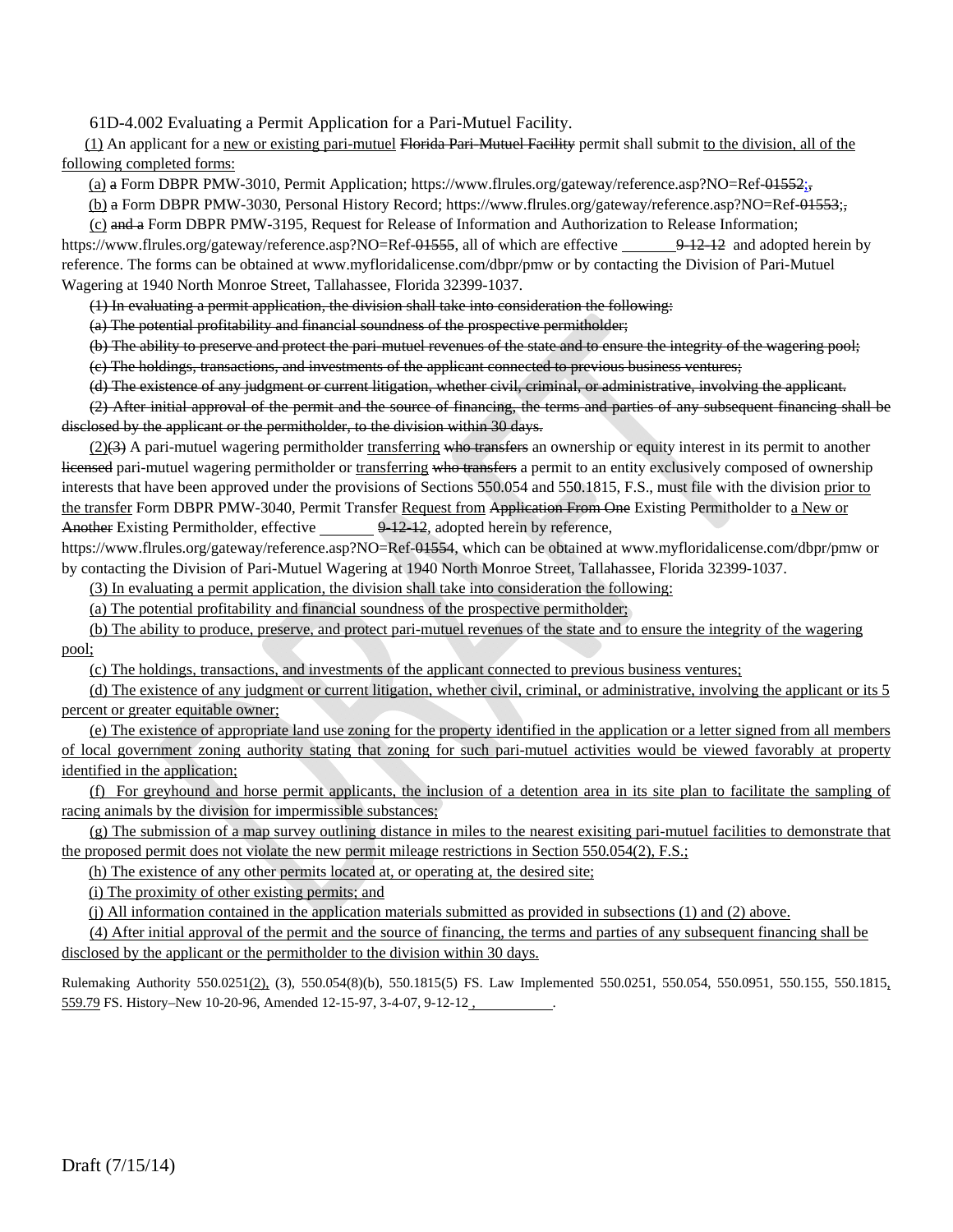61D-4.002 Evaluating a Permit Application for a Pari-Mutuel Facility.

(1) An applicant for a new or existing pari-mutuel Florida Pari-Mutuel Facility permit shall submit to the division, all of the following completed forms:

(a) a Form DBPR PMW-3010, Permit Application; https://www.flrules.org/gateway/reference.asp?NO=Ref-01552;,

(b) a Form DBPR PMW-3030, Personal History Record; https://www.flrules.org/gateway/reference.asp?NO=Ref-01553;,

(c) and a Form DBPR PMW-3195, Request for Release of Information and Authorization to Release Information;

https://www.flrules.org/gateway/reference.asp?NO=Ref-01555, all of which are effective 9-12-12 and adopted herein by reference. The forms can be obtained at www.myfloridalicense.com/dbpr/pmw or by contacting the Division of Pari-Mutuel Wagering at 1940 North Monroe Street, Tallahassee, Florida 32399-1037.

(1) In evaluating a permit application, the division shall take into consideration the following:

(a) The potential profitability and financial soundness of the prospective permitholder;

(b) The ability to preserve and protect the pari-mutuel revenues of the state and to ensure the integrity of the wagering pool;

(c) The holdings, transactions, and investments of the applicant connected to previous business ventures;

(d) The existence of any judgment or current litigation, whether civil, criminal, or administrative, involving the applicant.

(2) After initial approval of the permit and the source of financing, the terms and parties of any subsequent financing shall be disclosed by the applicant or the permitholder, to the division within 30 days.

 $(2)$ (3) A pari-mutuel wagering permitholder transferring who transfers an ownership or equity interest in its permit to another licensed pari-mutuel wagering permitholder or transferring who transfers a permit to an entity exclusively composed of ownership interests that have been approved under the provisions of Sections 550.054 and 550.1815, F.S., must file with the division prior to the transfer Form DBPR PMW-3040, Permit Transfer Request from Application From One Existing Permitholder to a New or Another Existing Permitholder, effective  $9\overline{12\overline{12}}$ , adopted herein by reference,

https://www.flrules.org/gateway/reference.asp?NO=Ref-01554, which can be obtained at www.myfloridalicense.com/dbpr/pmw or by contacting the Division of Pari-Mutuel Wagering at 1940 North Monroe Street, Tallahassee, Florida 32399-1037.

(3) In evaluating a permit application, the division shall take into consideration the following:

(a) The potential profitability and financial soundness of the prospective permitholder;

 (b) The ability to produce, preserve, and protect pari-mutuel revenues of the state and to ensure the integrity of the wagering pool;

(c) The holdings, transactions, and investments of the applicant connected to previous business ventures;

 (d) The existence of any judgment or current litigation, whether civil, criminal, or administrative, involving the applicant or its 5 percent or greater equitable owner;

 (e) The existence of appropriate land use zoning for the property identified in the application or a letter signed from all members of local government zoning authority stating that zoning for such pari-mutuel activities would be viewed favorably at property identified in the application;

 (f) For greyhound and horse permit applicants, the inclusion of a detention area in its site plan to facilitate the sampling of racing animals by the division for impermissible substances;

 (g) The submission of a map survey outlining distance in miles to the nearest exisiting pari-mutuel facilities to demonstrate that the proposed permit does not violate the new permit mileage restrictions in Section 550.054(2), F.S.;

(h) The existence of any other permits located at, or operating at, the desired site;

(i) The proximity of other existing permits; and

(j) All information contained in the application materials submitted as provided in subsections (1) and (2) above.

 (4) After initial approval of the permit and the source of financing, the terms and parties of any subsequent financing shall be disclosed by the applicant or the permitholder to the division within 30 days.

Rulemaking Authority 550.0251(2), (3), 550.054(8)(b), 550.1815(5) FS. Law Implemented 550.0251, 550.054, 550.0951, 550.155, 550.1815, 559.79 FS. History–New 10-20-96, Amended 12-15-97, 3-4-07, 9-12-12 , .